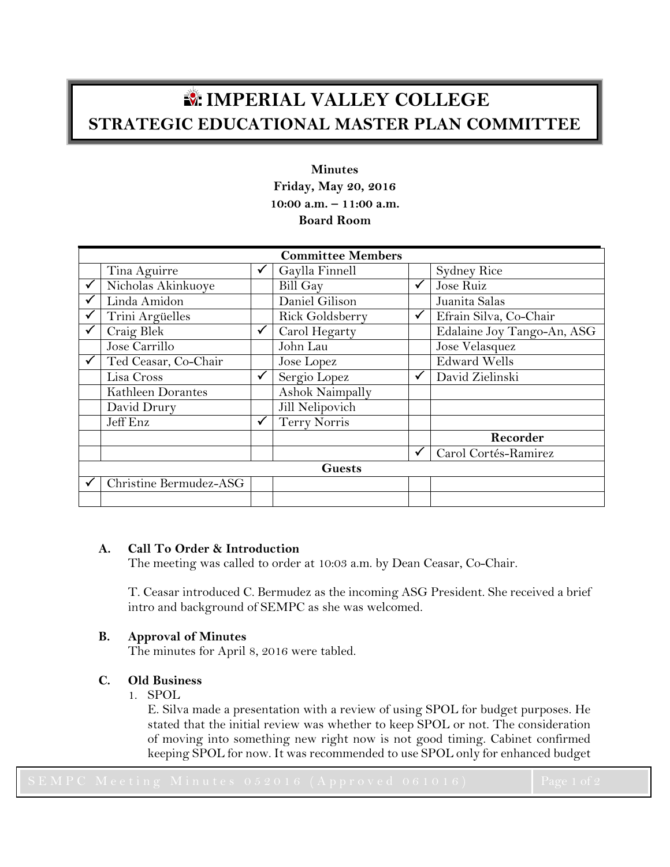# **IMPERIAL VALLEY COLLEGE STRATEGIC EDUCATIONAL MASTER PLAN COMMITTEE**

# **Minutes Friday, May 20, 2016 10:00 a.m. – 11:00 a.m. Board Room**

| <b>Committee Members</b> |                        |  |                     |   |                            |
|--------------------------|------------------------|--|---------------------|---|----------------------------|
|                          | Tina Aguirre           |  | Gaylla Finnell      |   | <b>Sydney Rice</b>         |
|                          | Nicholas Akinkuoye     |  | Bill Gay            | ✓ | Jose Ruiz                  |
|                          | Linda Amidon           |  | Daniel Gilison      |   | Juanita Salas              |
|                          | Trini Argüelles        |  | Rick Goldsberry     | ✓ | Efrain Silva, Co-Chair     |
|                          | Craig Blek             |  | Carol Hegarty       |   | Edalaine Joy Tango-An, ASG |
|                          | Jose Carrillo          |  | John Lau            |   | Jose Velasquez             |
|                          | Ted Ceasar, Co-Chair   |  | Jose Lopez          |   | <b>Edward Wells</b>        |
|                          | Lisa Cross             |  | Sergio Lopez        | ✓ | David Zielinski            |
|                          | Kathleen Dorantes      |  | Ashok Naimpally     |   |                            |
|                          | David Drury            |  | Jill Nelipovich     |   |                            |
|                          | Jeff Enz               |  | <b>Terry Norris</b> |   |                            |
|                          |                        |  |                     |   | Recorder                   |
|                          |                        |  |                     | ✓ | Carol Cortés-Ramirez       |
| <b>Guests</b>            |                        |  |                     |   |                            |
|                          | Christine Bermudez-ASG |  |                     |   |                            |
|                          |                        |  |                     |   |                            |

## **A. Call To Order & Introduction**

The meeting was called to order at 10:03 a.m. by Dean Ceasar, Co-Chair.

T. Ceasar introduced C. Bermudez as the incoming ASG President. She received a brief intro and background of SEMPC as she was welcomed.

#### **B. Approval of Minutes**

The minutes for April 8, 2016 were tabled.

#### **C. Old Business**

1. SPOL

E. Silva made a presentation with a review of using SPOL for budget purposes. He stated that the initial review was whether to keep SPOL or not. The consideration of moving into something new right now is not good timing. Cabinet confirmed keeping SPOL for now. It was recommended to use SPOL only for enhanced budget